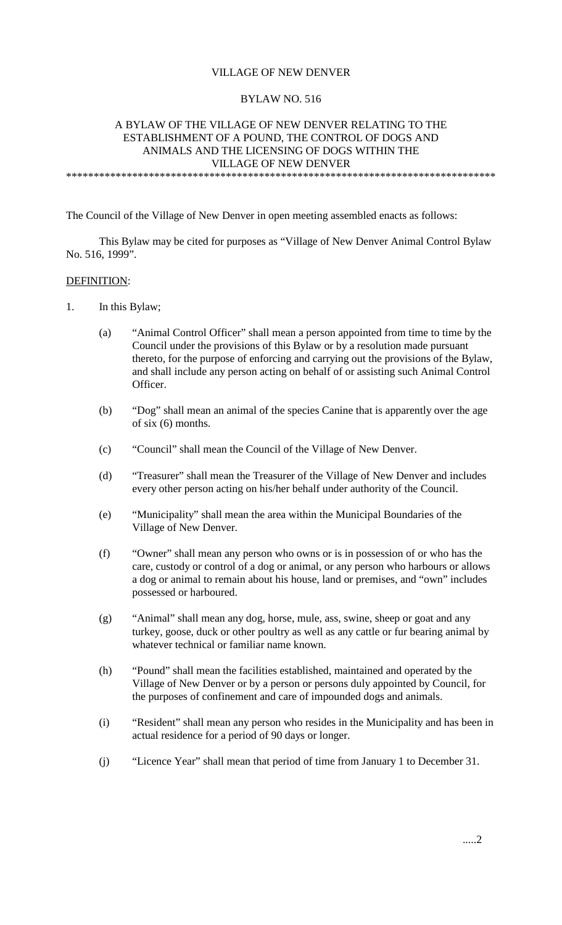## VILLAGE OF NEW DENVER

### BYLAW NO. 516

## A BYLAW OF THE VILLAGE OF NEW DENVER RELATING TO THE ESTABLISHMENT OF A POUND, THE CONTROL OF DOGS AND ANIMALS AND THE LICENSING OF DOGS WITHIN THE VILLAGE OF NEW DENVER

\*\*\*\*\*\*\*\*\*\*\*\*\*\*\*\*\*\*\*\*\*\*\*\*\*\*\*\*\*\*\*\*\*\*\*\*\*\*\*\*\*\*\*\*\*\*\*\*\*\*\*\*\*\*\*\*\*\*\*\*\*\*\*\*\*\*\*\*\*\*\*\*\*\*\*\*\*\*

The Council of the Village of New Denver in open meeting assembled enacts as follows:

This Bylaw may be cited for purposes as "Village of New Denver Animal Control Bylaw No. 516, 1999".

#### DEFINITION:

- 1. In this Bylaw;
	- (a) "Animal Control Officer" shall mean a person appointed from time to time by the Council under the provisions of this Bylaw or by a resolution made pursuant thereto, for the purpose of enforcing and carrying out the provisions of the Bylaw, and shall include any person acting on behalf of or assisting such Animal Control Officer.
	- (b) "Dog" shall mean an animal of the species Canine that is apparently over the age of six (6) months.
	- (c) "Council" shall mean the Council of the Village of New Denver.
	- (d) "Treasurer" shall mean the Treasurer of the Village of New Denver and includes every other person acting on his/her behalf under authority of the Council.
	- (e) "Municipality" shall mean the area within the Municipal Boundaries of the Village of New Denver.
	- (f) "Owner" shall mean any person who owns or is in possession of or who has the care, custody or control of a dog or animal, or any person who harbours or allows a dog or animal to remain about his house, land or premises, and "own" includes possessed or harboured.
	- (g) "Animal" shall mean any dog, horse, mule, ass, swine, sheep or goat and any turkey, goose, duck or other poultry as well as any cattle or fur bearing animal by whatever technical or familiar name known.
	- (h) "Pound" shall mean the facilities established, maintained and operated by the Village of New Denver or by a person or persons duly appointed by Council, for the purposes of confinement and care of impounded dogs and animals.
	- (i) "Resident" shall mean any person who resides in the Municipality and has been in actual residence for a period of 90 days or longer.
	- (j) "Licence Year" shall mean that period of time from January 1 to December 31.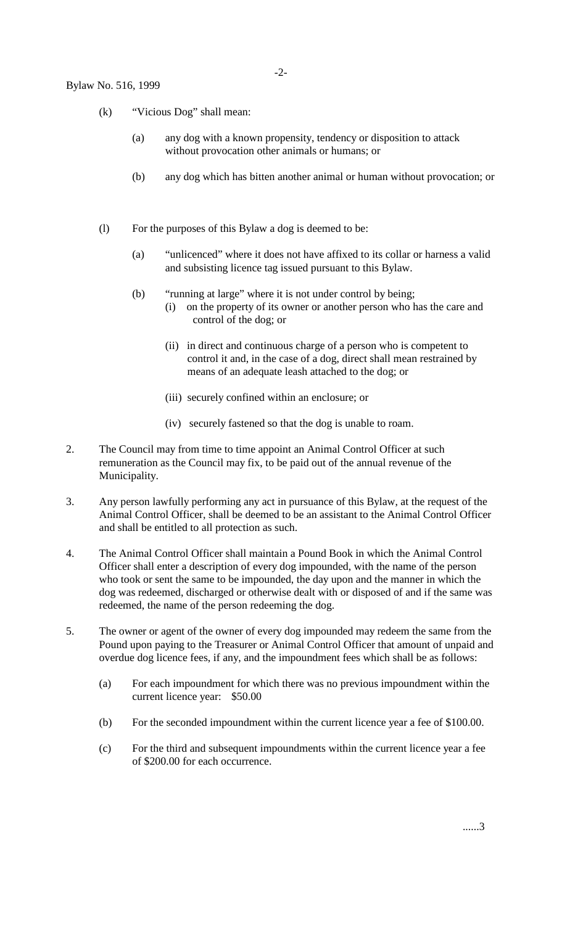- (k) "Vicious Dog" shall mean:
	- (a) any dog with a known propensity, tendency or disposition to attack without provocation other animals or humans; or
	- (b) any dog which has bitten another animal or human without provocation; or
- (l) For the purposes of this Bylaw a dog is deemed to be:
	- (a) "unlicenced" where it does not have affixed to its collar or harness a valid and subsisting licence tag issued pursuant to this Bylaw.
	- (b) "running at large" where it is not under control by being; (i) on the property of its owner or another person who has the care and control of the dog; or
		- (ii) in direct and continuous charge of a person who is competent to control it and, in the case of a dog, direct shall mean restrained by means of an adequate leash attached to the dog; or
		- (iii) securely confined within an enclosure; or
		- (iv) securely fastened so that the dog is unable to roam.
- 2. The Council may from time to time appoint an Animal Control Officer at such remuneration as the Council may fix, to be paid out of the annual revenue of the Municipality.
- 3. Any person lawfully performing any act in pursuance of this Bylaw, at the request of the Animal Control Officer, shall be deemed to be an assistant to the Animal Control Officer and shall be entitled to all protection as such.
- 4. The Animal Control Officer shall maintain a Pound Book in which the Animal Control Officer shall enter a description of every dog impounded, with the name of the person who took or sent the same to be impounded, the day upon and the manner in which the dog was redeemed, discharged or otherwise dealt with or disposed of and if the same was redeemed, the name of the person redeeming the dog.
- 5. The owner or agent of the owner of every dog impounded may redeem the same from the Pound upon paying to the Treasurer or Animal Control Officer that amount of unpaid and overdue dog licence fees, if any, and the impoundment fees which shall be as follows:
	- (a) For each impoundment for which there was no previous impoundment within the current licence year: \$50.00
	- (b) For the seconded impoundment within the current licence year a fee of \$100.00.
	- (c) For the third and subsequent impoundments within the current licence year a fee of \$200.00 for each occurrence.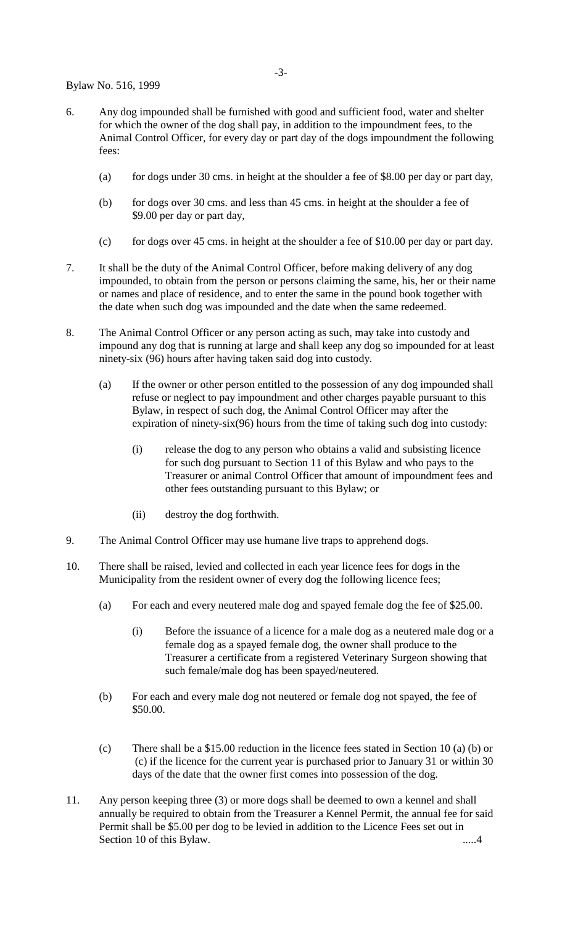Bylaw No. 516, 1999

- 6. Any dog impounded shall be furnished with good and sufficient food, water and shelter for which the owner of the dog shall pay, in addition to the impoundment fees, to the Animal Control Officer, for every day or part day of the dogs impoundment the following fees:
	- (a) for dogs under 30 cms. in height at the shoulder a fee of \$8.00 per day or part day,
	- (b) for dogs over 30 cms. and less than 45 cms. in height at the shoulder a fee of \$9.00 per day or part day,
	- (c) for dogs over 45 cms. in height at the shoulder a fee of \$10.00 per day or part day.
- 7. It shall be the duty of the Animal Control Officer, before making delivery of any dog impounded, to obtain from the person or persons claiming the same, his, her or their name or names and place of residence, and to enter the same in the pound book together with the date when such dog was impounded and the date when the same redeemed.
- 8. The Animal Control Officer or any person acting as such, may take into custody and impound any dog that is running at large and shall keep any dog so impounded for at least ninety-six (96) hours after having taken said dog into custody.
	- (a) If the owner or other person entitled to the possession of any dog impounded shall refuse or neglect to pay impoundment and other charges payable pursuant to this Bylaw, in respect of such dog, the Animal Control Officer may after the expiration of ninety-six(96) hours from the time of taking such dog into custody:
		- (i) release the dog to any person who obtains a valid and subsisting licence for such dog pursuant to Section 11 of this Bylaw and who pays to the Treasurer or animal Control Officer that amount of impoundment fees and other fees outstanding pursuant to this Bylaw; or
		- (ii) destroy the dog forthwith.
- 9. The Animal Control Officer may use humane live traps to apprehend dogs.
- 10. There shall be raised, levied and collected in each year licence fees for dogs in the Municipality from the resident owner of every dog the following licence fees;
	- (a) For each and every neutered male dog and spayed female dog the fee of \$25.00.
		- (i) Before the issuance of a licence for a male dog as a neutered male dog or a female dog as a spayed female dog, the owner shall produce to the Treasurer a certificate from a registered Veterinary Surgeon showing that such female/male dog has been spayed/neutered.
	- (b) For each and every male dog not neutered or female dog not spayed, the fee of \$50.00.
	- (c) There shall be a \$15.00 reduction in the licence fees stated in Section 10 (a) (b) or (c) if the licence for the current year is purchased prior to January 31 or within 30 days of the date that the owner first comes into possession of the dog.
- 11. Any person keeping three (3) or more dogs shall be deemed to own a kennel and shall annually be required to obtain from the Treasurer a Kennel Permit, the annual fee for said Permit shall be \$5.00 per dog to be levied in addition to the Licence Fees set out in Section 10 of this Bylaw. .....4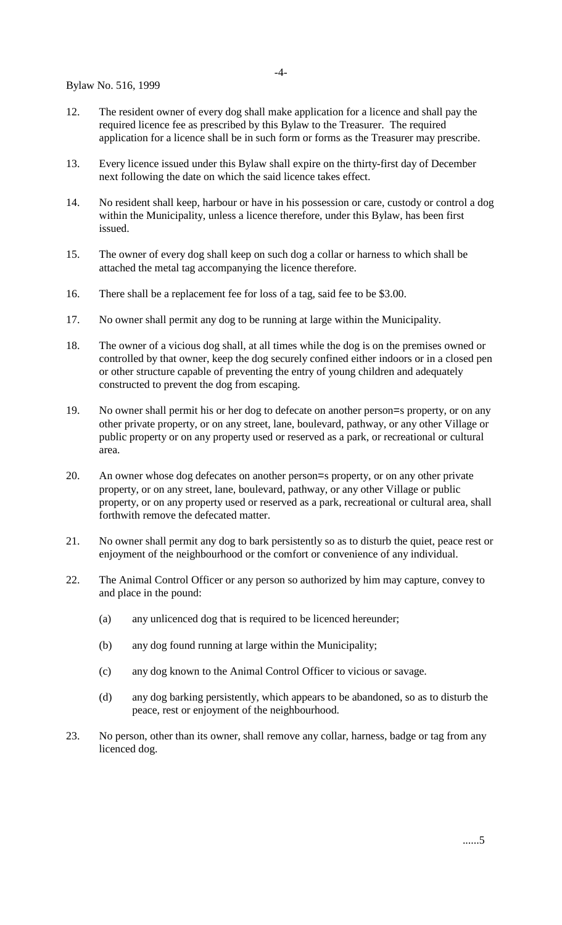- 12. The resident owner of every dog shall make application for a licence and shall pay the required licence fee as prescribed by this Bylaw to the Treasurer. The required application for a licence shall be in such form or forms as the Treasurer may prescribe.
- 13. Every licence issued under this Bylaw shall expire on the thirty-first day of December next following the date on which the said licence takes effect.
- 14. No resident shall keep, harbour or have in his possession or care, custody or control a dog within the Municipality, unless a licence therefore, under this Bylaw, has been first issued.
- 15. The owner of every dog shall keep on such dog a collar or harness to which shall be attached the metal tag accompanying the licence therefore.
- 16. There shall be a replacement fee for loss of a tag, said fee to be \$3.00.
- 17. No owner shall permit any dog to be running at large within the Municipality.
- 18. The owner of a vicious dog shall, at all times while the dog is on the premises owned or controlled by that owner, keep the dog securely confined either indoors or in a closed pen or other structure capable of preventing the entry of young children and adequately constructed to prevent the dog from escaping.
- 19. No owner shall permit his or her dog to defecate on another person=s property, or on any other private property, or on any street, lane, boulevard, pathway, or any other Village or public property or on any property used or reserved as a park, or recreational or cultural area.
- 20. An owner whose dog defecates on another person=s property, or on any other private property, or on any street, lane, boulevard, pathway, or any other Village or public property, or on any property used or reserved as a park, recreational or cultural area, shall forthwith remove the defecated matter.
- 21. No owner shall permit any dog to bark persistently so as to disturb the quiet, peace rest or enjoyment of the neighbourhood or the comfort or convenience of any individual.
- 22. The Animal Control Officer or any person so authorized by him may capture, convey to and place in the pound:
	- (a) any unlicenced dog that is required to be licenced hereunder;
	- (b) any dog found running at large within the Municipality;
	- (c) any dog known to the Animal Control Officer to vicious or savage.
	- (d) any dog barking persistently, which appears to be abandoned, so as to disturb the peace, rest or enjoyment of the neighbourhood.
- 23. No person, other than its owner, shall remove any collar, harness, badge or tag from any licenced dog.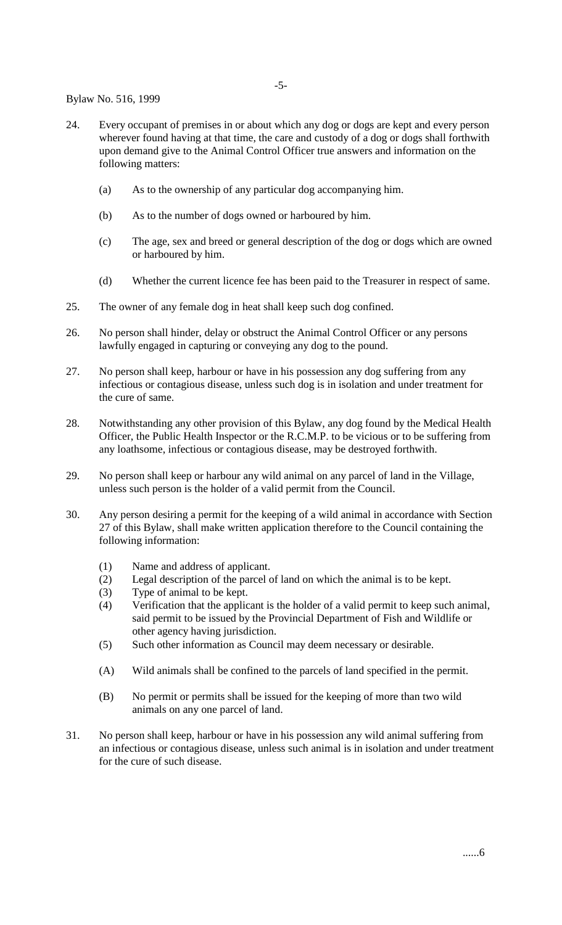-5-

Bylaw No. 516, 1999

- 24. Every occupant of premises in or about which any dog or dogs are kept and every person wherever found having at that time, the care and custody of a dog or dogs shall forthwith upon demand give to the Animal Control Officer true answers and information on the following matters:
	- (a) As to the ownership of any particular dog accompanying him.
	- (b) As to the number of dogs owned or harboured by him.
	- (c) The age, sex and breed or general description of the dog or dogs which are owned or harboured by him.
	- (d) Whether the current licence fee has been paid to the Treasurer in respect of same.
- 25. The owner of any female dog in heat shall keep such dog confined.
- 26. No person shall hinder, delay or obstruct the Animal Control Officer or any persons lawfully engaged in capturing or conveying any dog to the pound.
- 27. No person shall keep, harbour or have in his possession any dog suffering from any infectious or contagious disease, unless such dog is in isolation and under treatment for the cure of same.
- 28. Notwithstanding any other provision of this Bylaw, any dog found by the Medical Health Officer, the Public Health Inspector or the R.C.M.P. to be vicious or to be suffering from any loathsome, infectious or contagious disease, may be destroyed forthwith.
- 29. No person shall keep or harbour any wild animal on any parcel of land in the Village, unless such person is the holder of a valid permit from the Council.
- 30. Any person desiring a permit for the keeping of a wild animal in accordance with Section 27 of this Bylaw, shall make written application therefore to the Council containing the following information:
	- (1) Name and address of applicant.
	- (2) Legal description of the parcel of land on which the animal is to be kept.
	- (3) Type of animal to be kept.
	- (4) Verification that the applicant is the holder of a valid permit to keep such animal, said permit to be issued by the Provincial Department of Fish and Wildlife or other agency having jurisdiction.
	- (5) Such other information as Council may deem necessary or desirable.
	- (A) Wild animals shall be confined to the parcels of land specified in the permit.
	- (B) No permit or permits shall be issued for the keeping of more than two wild animals on any one parcel of land.
- 31. No person shall keep, harbour or have in his possession any wild animal suffering from an infectious or contagious disease, unless such animal is in isolation and under treatment for the cure of such disease.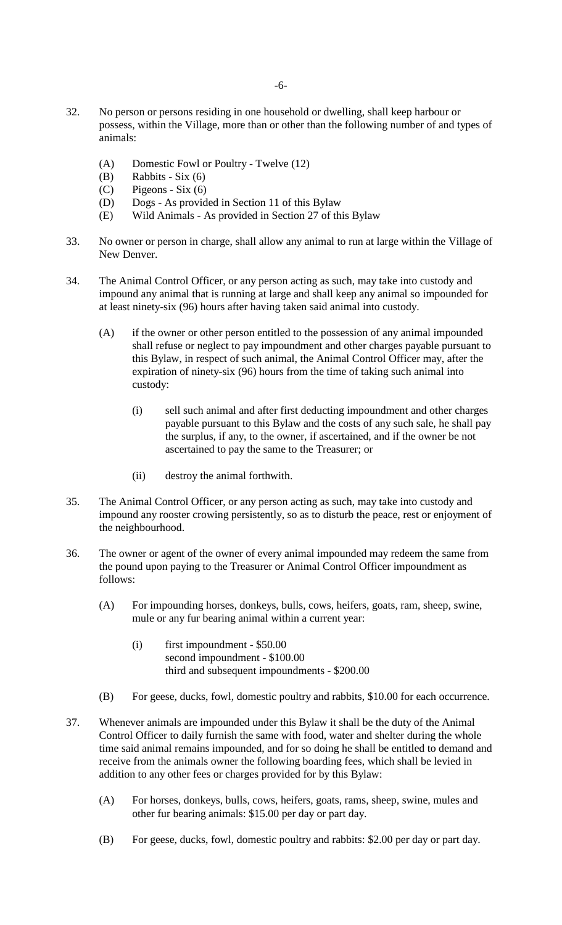- 32. No person or persons residing in one household or dwelling, shall keep harbour or possess, within the Village, more than or other than the following number of and types of animals:
	- (A) Domestic Fowl or Poultry Twelve (12)
	- $(B)$  Rabbits Six  $(6)$
	- (C) Pigeons Six (6)
	- (D) Dogs As provided in Section 11 of this Bylaw
	- (E) Wild Animals As provided in Section 27 of this Bylaw
- 33. No owner or person in charge, shall allow any animal to run at large within the Village of New Denver.
- 34. The Animal Control Officer, or any person acting as such, may take into custody and impound any animal that is running at large and shall keep any animal so impounded for at least ninety-six (96) hours after having taken said animal into custody.
	- (A) if the owner or other person entitled to the possession of any animal impounded shall refuse or neglect to pay impoundment and other charges payable pursuant to this Bylaw, in respect of such animal, the Animal Control Officer may, after the expiration of ninety-six (96) hours from the time of taking such animal into custody:
		- (i) sell such animal and after first deducting impoundment and other charges payable pursuant to this Bylaw and the costs of any such sale, he shall pay the surplus, if any, to the owner, if ascertained, and if the owner be not ascertained to pay the same to the Treasurer; or
		- (ii) destroy the animal forthwith.
- 35. The Animal Control Officer, or any person acting as such, may take into custody and impound any rooster crowing persistently, so as to disturb the peace, rest or enjoyment of the neighbourhood.
- 36. The owner or agent of the owner of every animal impounded may redeem the same from the pound upon paying to the Treasurer or Animal Control Officer impoundment as follows:
	- (A) For impounding horses, donkeys, bulls, cows, heifers, goats, ram, sheep, swine, mule or any fur bearing animal within a current year:
		- (i) first impoundment \$50.00 second impoundment - \$100.00 third and subsequent impoundments - \$200.00
	- (B) For geese, ducks, fowl, domestic poultry and rabbits, \$10.00 for each occurrence.
- 37. Whenever animals are impounded under this Bylaw it shall be the duty of the Animal Control Officer to daily furnish the same with food, water and shelter during the whole time said animal remains impounded, and for so doing he shall be entitled to demand and receive from the animals owner the following boarding fees, which shall be levied in addition to any other fees or charges provided for by this Bylaw:
	- (A) For horses, donkeys, bulls, cows, heifers, goats, rams, sheep, swine, mules and other fur bearing animals: \$15.00 per day or part day.
	- (B) For geese, ducks, fowl, domestic poultry and rabbits: \$2.00 per day or part day.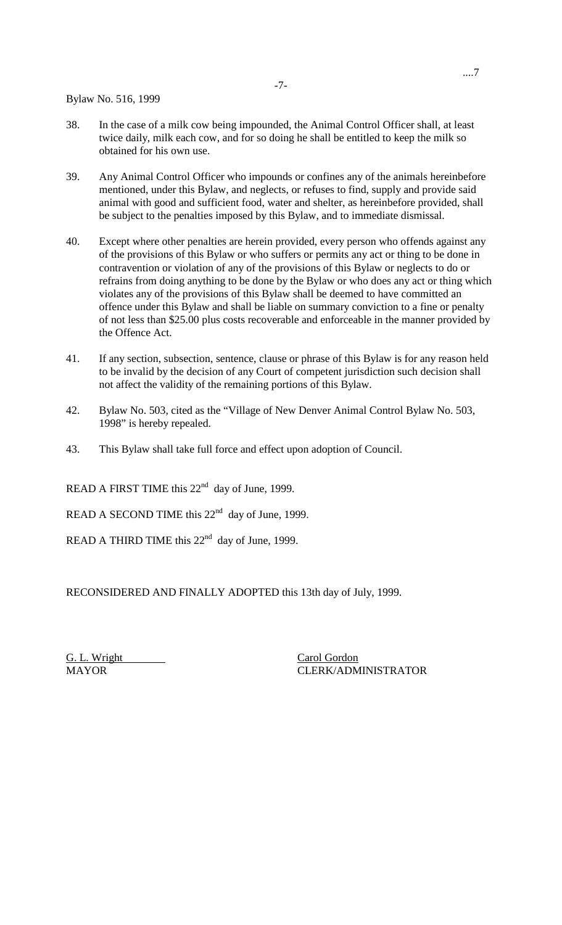Bylaw No. 516, 1999

- 38. In the case of a milk cow being impounded, the Animal Control Officer shall, at least twice daily, milk each cow, and for so doing he shall be entitled to keep the milk so obtained for his own use.
- 39. Any Animal Control Officer who impounds or confines any of the animals hereinbefore mentioned, under this Bylaw, and neglects, or refuses to find, supply and provide said animal with good and sufficient food, water and shelter, as hereinbefore provided, shall be subject to the penalties imposed by this Bylaw, and to immediate dismissal.
- 40. Except where other penalties are herein provided, every person who offends against any of the provisions of this Bylaw or who suffers or permits any act or thing to be done in contravention or violation of any of the provisions of this Bylaw or neglects to do or refrains from doing anything to be done by the Bylaw or who does any act or thing which violates any of the provisions of this Bylaw shall be deemed to have committed an offence under this Bylaw and shall be liable on summary conviction to a fine or penalty of not less than \$25.00 plus costs recoverable and enforceable in the manner provided by the Offence Act.
- 41. If any section, subsection, sentence, clause or phrase of this Bylaw is for any reason held to be invalid by the decision of any Court of competent jurisdiction such decision shall not affect the validity of the remaining portions of this Bylaw.
- 42. Bylaw No. 503, cited as the "Village of New Denver Animal Control Bylaw No. 503, 1998" is hereby repealed.
- 43. This Bylaw shall take full force and effect upon adoption of Council.

READ A FIRST TIME this  $22<sup>nd</sup>$  day of June, 1999.

READ A SECOND TIME this  $22<sup>nd</sup>$  day of June, 1999.

READ A THIRD TIME this 22<sup>nd</sup> day of June, 1999.

RECONSIDERED AND FINALLY ADOPTED this 13th day of July, 1999.

G. L. Wright Carol Gordon

MAYOR CLERK/ADMINISTRATOR